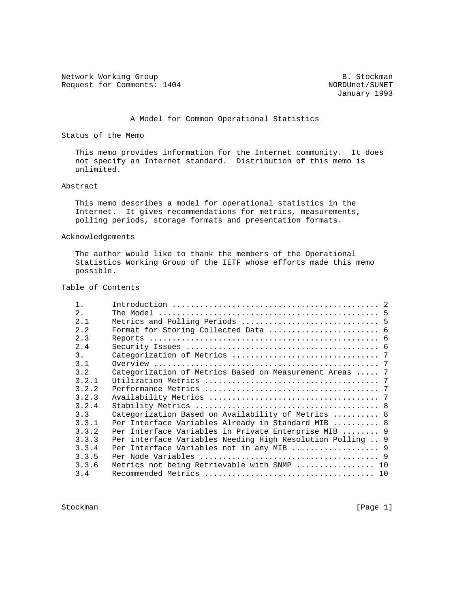Network Working Group and the set of the set of the Stockman B. Stockman Request for Comments: 1404 NORDUnet/SUNET

January 1993

### A Model for Common Operational Statistics

Status of the Memo

 This memo provides information for the Internet community. It does not specify an Internet standard. Distribution of this memo is unlimited.

### Abstract

 This memo describes a model for operational statistics in the Internet. It gives recommendations for metrics, measurements, polling periods, storage formats and presentation formats.

#### Acknowledgements

 The author would like to thank the members of the Operational Statistics Working Group of the IETF whose efforts made this memo possible.

### Table of Contents

| 2.    |                                                            |  |
|-------|------------------------------------------------------------|--|
| 2.1   |                                                            |  |
| 2.2   |                                                            |  |
| 2.3   |                                                            |  |
| 2.4   |                                                            |  |
| 3.    |                                                            |  |
| 3.1   |                                                            |  |
| 3.2   | Categorization of Metrics Based on Measurement Areas  7    |  |
| 3.2.1 |                                                            |  |
| 3.2.2 |                                                            |  |
| 3.2.3 |                                                            |  |
| 3.2.4 |                                                            |  |
| 3.3   | Categorization Based on Availability of Metrics  8         |  |
| 3.3.1 | Per Interface Variables Already in Standard MIB  8         |  |
| 3.3.2 | Per Interface Variables in Private Enterprise MIB  9       |  |
| 3.3.3 | Per interface Variables Needing High Resolution Polling  9 |  |
| 3.3.4 | Per Interface Variables not in any MIB  9                  |  |
| 3.3.5 |                                                            |  |
| 3.3.6 | Metrics not being Retrievable with SNMP  10                |  |
| 3.4   |                                                            |  |

Stockman [Page 1]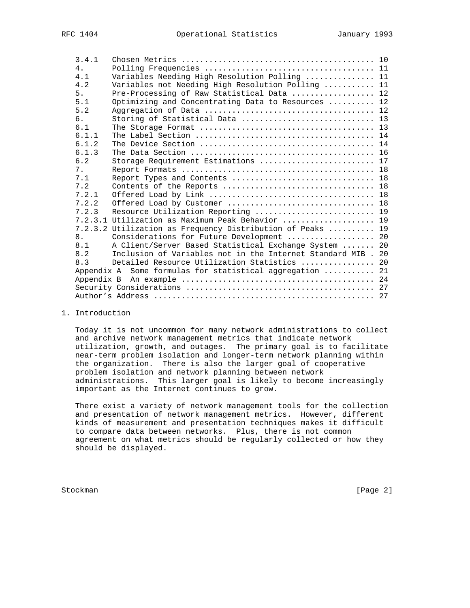| 3.4.1 |                                                              |  |
|-------|--------------------------------------------------------------|--|
| 4.    |                                                              |  |
| 4.1   | Variables Needing High Resolution Polling  11                |  |
| 4.2   | Variables not Needing High Resolution Polling  11            |  |
| 5.    | Pre-Processing of Raw Statistical Data  12                   |  |
| 5.1   | Optimizing and Concentrating Data to Resources  12           |  |
| 5.2   |                                                              |  |
| б.    |                                                              |  |
| 6.1   |                                                              |  |
| 6.1.1 |                                                              |  |
| 6.1.2 |                                                              |  |
| 6.1.3 |                                                              |  |
| 6.2   | Storage Requirement Estimations  17                          |  |
| 7.    |                                                              |  |
| 7.1   | Report Types and Contents  18                                |  |
| 7.2   |                                                              |  |
| 7.2.1 |                                                              |  |
| 7.2.2 |                                                              |  |
| 7.2.3 | Resource Utilization Reporting  19                           |  |
|       | 7.2.3.1 Utilization as Maximum Peak Behavior  19             |  |
|       | 7.2.3.2 Utilization as Frequency Distribution of Peaks  19   |  |
| 8.    | Considerations for Future Development  20                    |  |
| 8.1   | A Client/Server Based Statistical Exchange System  20        |  |
| 8.2   | Inclusion of Variables not in the Internet Standard MIB . 20 |  |
| 8.3   | Detailed Resource Utilization Statistics  20                 |  |
|       | Appendix A Some formulas for statistical aggregation  21     |  |
|       |                                                              |  |
|       |                                                              |  |
|       |                                                              |  |

# 1. Introduction

 Today it is not uncommon for many network administrations to collect and archive network management metrics that indicate network utilization, growth, and outages. The primary goal is to facilitate near-term problem isolation and longer-term network planning within the organization. There is also the larger goal of cooperative problem isolation and network planning between network administrations. This larger goal is likely to become increasingly important as the Internet continues to grow.

 There exist a variety of network management tools for the collection and presentation of network management metrics. However, different kinds of measurement and presentation techniques makes it difficult to compare data between networks. Plus, there is not common agreement on what metrics should be regularly collected or how they should be displayed.

Stockman [Page 2]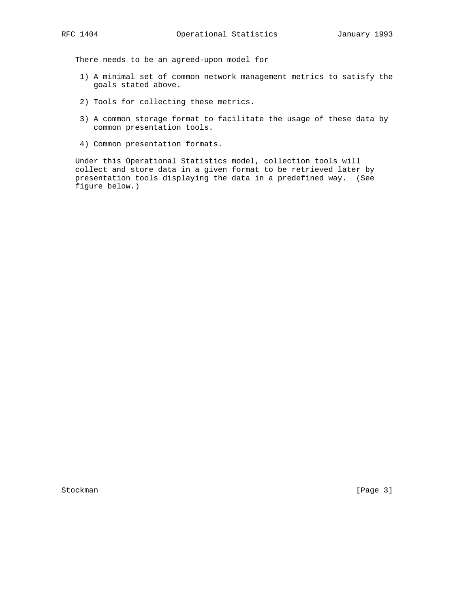There needs to be an agreed-upon model for

- 1) A minimal set of common network management metrics to satisfy the goals stated above.
- 2) Tools for collecting these metrics.
- 3) A common storage format to facilitate the usage of these data by common presentation tools.
- 4) Common presentation formats.

 Under this Operational Statistics model, collection tools will collect and store data in a given format to be retrieved later by presentation tools displaying the data in a predefined way. (See figure below.)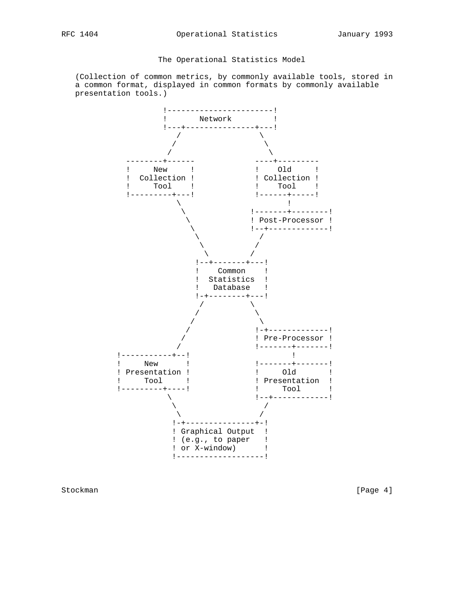# The Operational Statistics Model

 (Collection of common metrics, by commonly available tools, stored in a common format, displayed in common formats by commonly available presentation tools.)



Stockman [Page 4]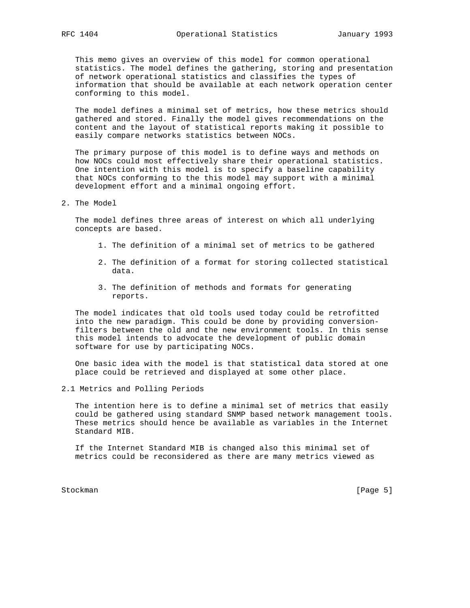This memo gives an overview of this model for common operational statistics. The model defines the gathering, storing and presentation of network operational statistics and classifies the types of information that should be available at each network operation center conforming to this model.

 The model defines a minimal set of metrics, how these metrics should gathered and stored. Finally the model gives recommendations on the content and the layout of statistical reports making it possible to easily compare networks statistics between NOCs.

 The primary purpose of this model is to define ways and methods on how NOCs could most effectively share their operational statistics. One intention with this model is to specify a baseline capability that NOCs conforming to the this model may support with a minimal development effort and a minimal ongoing effort.

2. The Model

 The model defines three areas of interest on which all underlying concepts are based.

- 1. The definition of a minimal set of metrics to be gathered
- 2. The definition of a format for storing collected statistical data.
- 3. The definition of methods and formats for generating reports.

 The model indicates that old tools used today could be retrofitted into the new paradigm. This could be done by providing conversion filters between the old and the new environment tools. In this sense this model intends to advocate the development of public domain software for use by participating NOCs.

 One basic idea with the model is that statistical data stored at one place could be retrieved and displayed at some other place.

2.1 Metrics and Polling Periods

 The intention here is to define a minimal set of metrics that easily could be gathered using standard SNMP based network management tools. These metrics should hence be available as variables in the Internet Standard MIB.

 If the Internet Standard MIB is changed also this minimal set of metrics could be reconsidered as there are many metrics viewed as

Stockman [Page 5]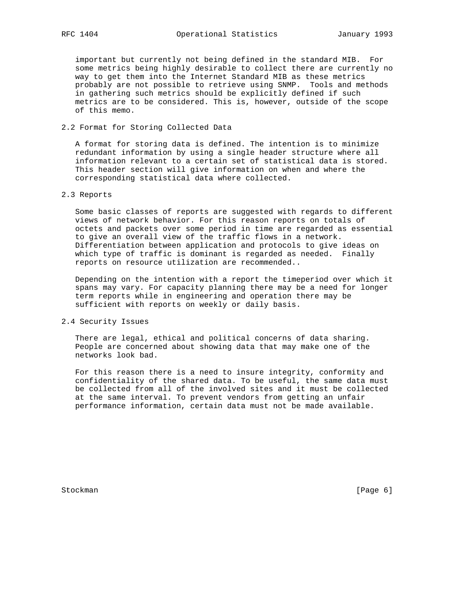important but currently not being defined in the standard MIB. For some metrics being highly desirable to collect there are currently no way to get them into the Internet Standard MIB as these metrics probably are not possible to retrieve using SNMP. Tools and methods in gathering such metrics should be explicitly defined if such metrics are to be considered. This is, however, outside of the scope of this memo.

2.2 Format for Storing Collected Data

 A format for storing data is defined. The intention is to minimize redundant information by using a single header structure where all information relevant to a certain set of statistical data is stored. This header section will give information on when and where the corresponding statistical data where collected.

### 2.3 Reports

 Some basic classes of reports are suggested with regards to different views of network behavior. For this reason reports on totals of octets and packets over some period in time are regarded as essential to give an overall view of the traffic flows in a network. Differentiation between application and protocols to give ideas on which type of traffic is dominant is regarded as needed. Finally reports on resource utilization are recommended..

 Depending on the intention with a report the timeperiod over which it spans may vary. For capacity planning there may be a need for longer term reports while in engineering and operation there may be sufficient with reports on weekly or daily basis.

# 2.4 Security Issues

 There are legal, ethical and political concerns of data sharing. People are concerned about showing data that may make one of the networks look bad.

 For this reason there is a need to insure integrity, conformity and confidentiality of the shared data. To be useful, the same data must be collected from all of the involved sites and it must be collected at the same interval. To prevent vendors from getting an unfair performance information, certain data must not be made available.

Stockman [Page 6]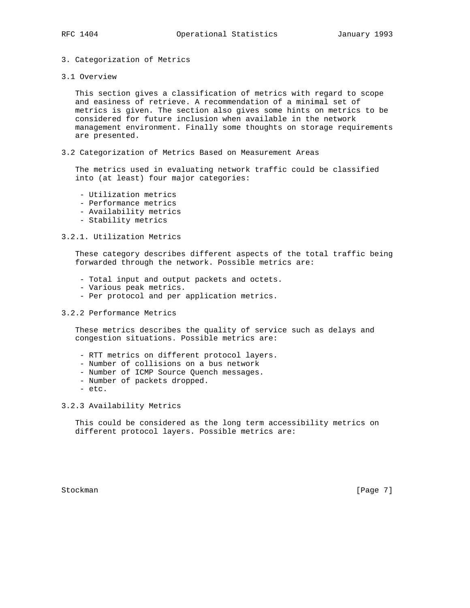# 3. Categorization of Metrics

3.1 Overview

 This section gives a classification of metrics with regard to scope and easiness of retrieve. A recommendation of a minimal set of metrics is given. The section also gives some hints on metrics to be considered for future inclusion when available in the network management environment. Finally some thoughts on storage requirements are presented.

3.2 Categorization of Metrics Based on Measurement Areas

 The metrics used in evaluating network traffic could be classified into (at least) four major categories:

- Utilization metrics
- Performance metrics
- Availability metrics
- Stability metrics

### 3.2.1. Utilization Metrics

 These category describes different aspects of the total traffic being forwarded through the network. Possible metrics are:

- Total input and output packets and octets.
- Various peak metrics.
- Per protocol and per application metrics.

#### 3.2.2 Performance Metrics

 These metrics describes the quality of service such as delays and congestion situations. Possible metrics are:

- RTT metrics on different protocol layers.
- Number of collisions on a bus network
- Number of ICMP Source Quench messages.
- Number of packets dropped.
- etc.

3.2.3 Availability Metrics

 This could be considered as the long term accessibility metrics on different protocol layers. Possible metrics are:

Stockman [Page 7]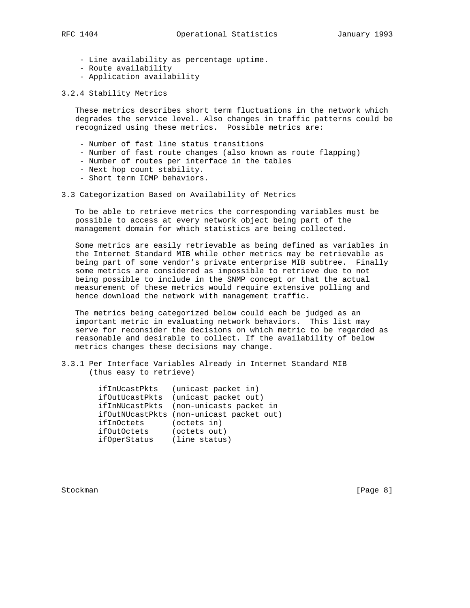- Line availability as percentage uptime.
- Route availability
- Application availability
- 3.2.4 Stability Metrics

 These metrics describes short term fluctuations in the network which degrades the service level. Also changes in traffic patterns could be recognized using these metrics. Possible metrics are:

- Number of fast line status transitions
- Number of fast route changes (also known as route flapping)
- Number of routes per interface in the tables
- Next hop count stability.
- Short term ICMP behaviors.
- 3.3 Categorization Based on Availability of Metrics

 To be able to retrieve metrics the corresponding variables must be possible to access at every network object being part of the management domain for which statistics are being collected.

 Some metrics are easily retrievable as being defined as variables in the Internet Standard MIB while other metrics may be retrievable as being part of some vendor's private enterprise MIB subtree. Finally some metrics are considered as impossible to retrieve due to not being possible to include in the SNMP concept or that the actual measurement of these metrics would require extensive polling and hence download the network with management traffic.

 The metrics being categorized below could each be judged as an important metric in evaluating network behaviors. This list may serve for reconsider the decisions on which metric to be regarded as reasonable and desirable to collect. If the availability of below metrics changes these decisions may change.

3.3.1 Per Interface Variables Already in Internet Standard MIB (thus easy to retrieve)

| ifInUcastPkts | (unicast packet in)                      |
|---------------|------------------------------------------|
|               | ifOutUcastPkts (unicast packet out)      |
|               | ifInNUcastPkts (non-unicasts packet in   |
|               | ifOutNUcastPkts (non-unicast packet out) |
| ifInOctets    | (octets in)                              |
| ifOutOctets   | (octets out)                             |
| ifOperStatus  | (line status)                            |

Stockman [Page 8]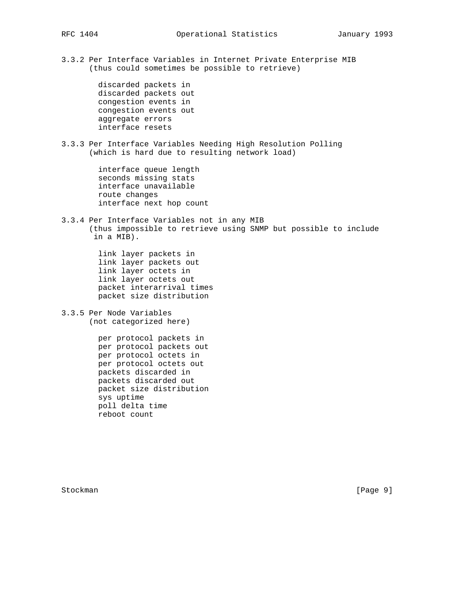3.3.2 Per Interface Variables in Internet Private Enterprise MIB (thus could sometimes be possible to retrieve)

> discarded packets in discarded packets out congestion events in congestion events out aggregate errors interface resets

3.3.3 Per Interface Variables Needing High Resolution Polling (which is hard due to resulting network load)

> interface queue length seconds missing stats interface unavailable route changes interface next hop count

3.3.4 Per Interface Variables not in any MIB (thus impossible to retrieve using SNMP but possible to include in a MIB).

> link layer packets in link layer packets out link layer octets in link layer octets out packet interarrival times packet size distribution

3.3.5 Per Node Variables (not categorized here)

> per protocol packets in per protocol packets out per protocol octets in per protocol octets out packets discarded in packets discarded out packet size distribution sys uptime poll delta time reboot count

Stockman [Page 9]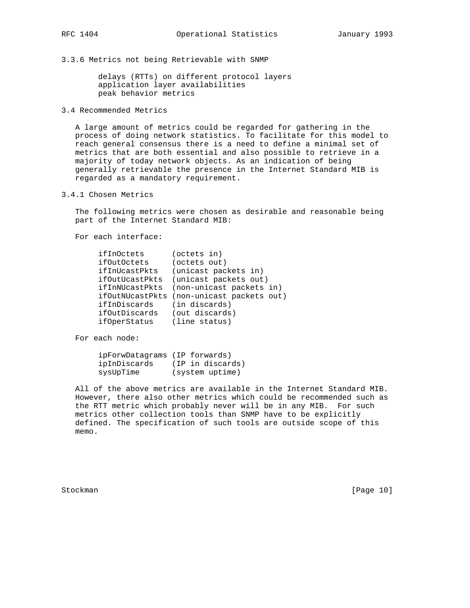3.3.6 Metrics not being Retrievable with SNMP

 delays (RTTs) on different protocol layers application layer availabilities peak behavior metrics

3.4 Recommended Metrics

 A large amount of metrics could be regarded for gathering in the process of doing network statistics. To facilitate for this model to reach general consensus there is a need to define a minimal set of metrics that are both essential and also possible to retrieve in a majority of today network objects. As an indication of being generally retrievable the presence in the Internet Standard MIB is regarded as a mandatory requirement.

3.4.1 Chosen Metrics

 The following metrics were chosen as desirable and reasonable being part of the Internet Standard MIB:

For each interface:

| ifInOctets             | (octets in)               |
|------------------------|---------------------------|
| ifOutOctets            | (octets out)              |
| ifInUcastPkts          | (unicast packets in)      |
| ifOutUcastPkts         | (unicast packets out)     |
| ifInNUcastPkts         | (non-unicast packets in)  |
| <i>ifOutNUcastPkts</i> | (non-unicast packets out) |
| ifInDiscards           | (in discards)             |
| ifOutDiscards          | (out discards)            |
| ifOperStatus           | (line status)             |

For each node:

| ipForwDatagrams (IP forwards) |                  |
|-------------------------------|------------------|
| ipInDiscards                  | (IP in discards) |
| sysUpTime                     | (system uptime)  |

 All of the above metrics are available in the Internet Standard MIB. However, there also other metrics which could be recommended such as the RTT metric which probably never will be in any MIB. For such metrics other collection tools than SNMP have to be explicitly defined. The specification of such tools are outside scope of this memo.

Stockman [Page 10]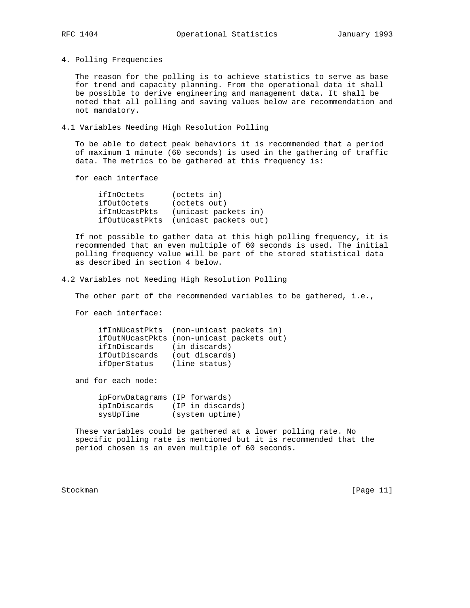4. Polling Frequencies

 The reason for the polling is to achieve statistics to serve as base for trend and capacity planning. From the operational data it shall be possible to derive engineering and management data. It shall be noted that all polling and saving values below are recommendation and not mandatory.

4.1 Variables Needing High Resolution Polling

 To be able to detect peak behaviors it is recommended that a period of maximum 1 minute (60 seconds) is used in the gathering of traffic data. The metrics to be gathered at this frequency is:

for each interface

| ifInOctets     | (octets in)           |
|----------------|-----------------------|
| ifOutOctets    | (octets out)          |
| ifInUcastPkts  | (unicast packets in)  |
| ifOutUcastPkts | (unicast packets out) |

 If not possible to gather data at this high polling frequency, it is recommended that an even multiple of 60 seconds is used. The initial polling frequency value will be part of the stored statistical data as described in section 4 below.

4.2 Variables not Needing High Resolution Polling

The other part of the recommended variables to be gathered, i.e.,

For each interface:

|               | ifInNUcastPkts (non-unicast packets in)   |
|---------------|-------------------------------------------|
|               | ifOutNUcastPkts (non-unicast packets out) |
| ifInDiscards  | (in discards)                             |
| ifOutDiscards | (out discards)                            |
| ifOperStatus  | (line status)                             |

and for each node:

| ipForwDatagrams (IP forwards) |                  |
|-------------------------------|------------------|
| ipInDiscards                  | (IP in discards) |
| sysUpTime                     | (system uptime)  |

 These variables could be gathered at a lower polling rate. No specific polling rate is mentioned but it is recommended that the period chosen is an even multiple of 60 seconds.

Stockman [Page 11]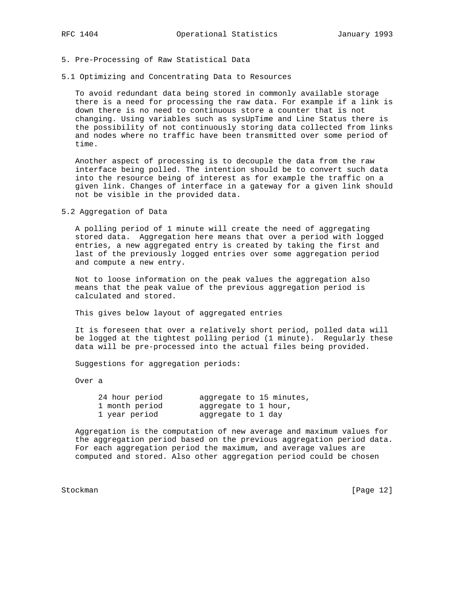### 5. Pre-Processing of Raw Statistical Data

5.1 Optimizing and Concentrating Data to Resources

 To avoid redundant data being stored in commonly available storage there is a need for processing the raw data. For example if a link is down there is no need to continuous store a counter that is not changing. Using variables such as sysUpTime and Line Status there is the possibility of not continuously storing data collected from links and nodes where no traffic have been transmitted over some period of time.

 Another aspect of processing is to decouple the data from the raw interface being polled. The intention should be to convert such data into the resource being of interest as for example the traffic on a given link. Changes of interface in a gateway for a given link should not be visible in the provided data.

5.2 Aggregation of Data

 A polling period of 1 minute will create the need of aggregating stored data. Aggregation here means that over a period with logged entries, a new aggregated entry is created by taking the first and last of the previously logged entries over some aggregation period and compute a new entry.

 Not to loose information on the peak values the aggregation also means that the peak value of the previous aggregation period is calculated and stored.

This gives below layout of aggregated entries

 It is foreseen that over a relatively short period, polled data will be logged at the tightest polling period (1 minute). Regularly these data will be pre-processed into the actual files being provided.

Suggestions for aggregation periods:

Over a

| 24 hour period | aggregate to 15 minutes, |
|----------------|--------------------------|
| 1 month period | aggregate to 1 hour,     |
| 1 year period  | aggregate to 1 day       |

 Aggregation is the computation of new average and maximum values for the aggregation period based on the previous aggregation period data. For each aggregation period the maximum, and average values are computed and stored. Also other aggregation period could be chosen

Stockman [Page 12]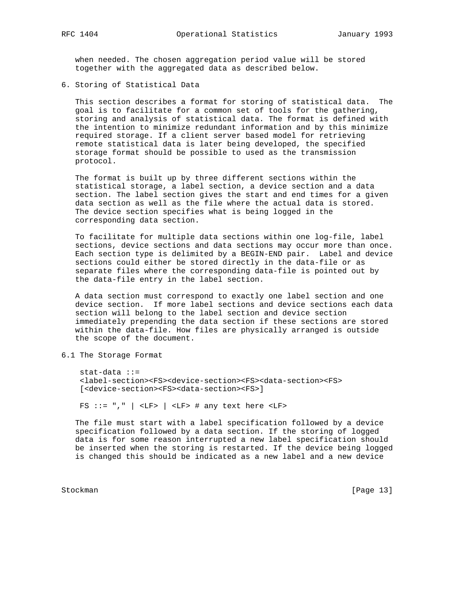when needed. The chosen aggregation period value will be stored together with the aggregated data as described below.

6. Storing of Statistical Data

 This section describes a format for storing of statistical data. The goal is to facilitate for a common set of tools for the gathering, storing and analysis of statistical data. The format is defined with the intention to minimize redundant information and by this minimize required storage. If a client server based model for retrieving remote statistical data is later being developed, the specified storage format should be possible to used as the transmission protocol.

 The format is built up by three different sections within the statistical storage, a label section, a device section and a data section. The label section gives the start and end times for a given data section as well as the file where the actual data is stored. The device section specifies what is being logged in the corresponding data section.

 To facilitate for multiple data sections within one log-file, label sections, device sections and data sections may occur more than once. Each section type is delimited by a BEGIN-END pair. Label and device sections could either be stored directly in the data-file or as separate files where the corresponding data-file is pointed out by the data-file entry in the label section.

 A data section must correspond to exactly one label section and one device section. If more label sections and device sections each data section will belong to the label section and device section immediately prepending the data section if these sections are stored within the data-file. How files are physically arranged is outside the scope of the document.

6.1 The Storage Format

 stat-data ::= <label-section><FS><device-section><FS><data-section><FS> [<device-section><FS><data-section><FS>]

FS ::= ","  $|$  <LF>  $|$  <LF> # any text here <LF>

 The file must start with a label specification followed by a device specification followed by a data section. If the storing of logged data is for some reason interrupted a new label specification should be inserted when the storing is restarted. If the device being logged is changed this should be indicated as a new label and a new device

Stockman [Page 13]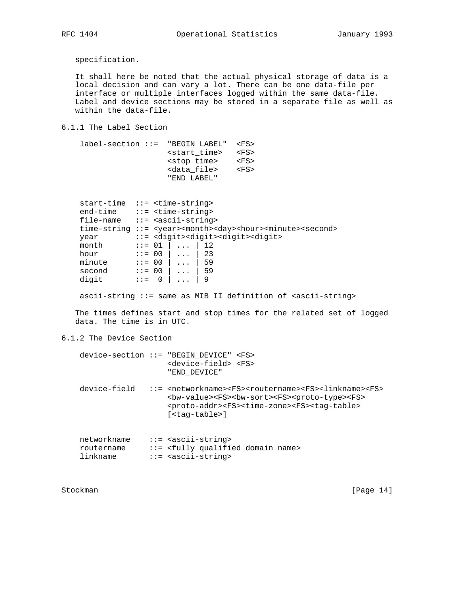specification.

 It shall here be noted that the actual physical storage of data is a local decision and can vary a lot. There can be one data-file per interface or multiple interfaces logged within the same data-file. Label and device sections may be stored in a separate file as well as within the data-file.

6.1.1 The Label Section

| $label-section$ :: "BEGIN LABEL" <fs></fs> |                         |         |
|--------------------------------------------|-------------------------|---------|
|                                            | <start time=""></start> | $<$ FS> |
|                                            | <stop time=""></stop>   | $<$ FS> |
|                                            | <data_file></data_file> | $<$ FS> |
|                                            | "END LABEL"             |         |

| $start-time ::= $ |                           |                |                                     |                                                                                                        |
|-------------------|---------------------------|----------------|-------------------------------------|--------------------------------------------------------------------------------------------------------|
| end-time          |                           |                | ::= <time-string></time-string>     |                                                                                                        |
| file-name         |                           |                | $::=$ <ascii-string></ascii-string> |                                                                                                        |
|                   |                           |                |                                     | time-string ::= <year><month><day><hour><minute><second></second></minute></hour></day></month></year> |
| year              |                           |                |                                     | ::= <digit><digit><digit><digit></digit></digit></digit></digit>                                       |
| month             | $: := 01$                 |                | $\ldots$                            | 12                                                                                                     |
| hour              | $: := 00$                 |                | $\ldots$                            | 23                                                                                                     |
| minute            | $: := 00$                 |                | $\cdots$                            | 59                                                                                                     |
| second            | $: := 00$                 |                | $\cdots$                            | 59                                                                                                     |
| digit             | $\mathbf{1} \mathbf{1} =$ | $\overline{0}$ |                                     | 9                                                                                                      |

ascii-string ::= same as MIB II definition of <ascii-string>

 The times defines start and stop times for the related set of logged data. The time is in UTC.

6.1.2 The Device Section

|                                       | $device-section :: = "BEGIN DEVICE" < FS$<br><device-field> <fs><br/>"END DEVICE"</fs></device-field>                                                                                                                                                                                                                                          |
|---------------------------------------|------------------------------------------------------------------------------------------------------------------------------------------------------------------------------------------------------------------------------------------------------------------------------------------------------------------------------------------------|
| device-field                          | $::=$ <networkname><fs><routername><fs><linkname><fs><br/><bw-value><fs><bw-sort><fs><proto-type><fs><br/><proto-addr><fs><time-zone><fs><taq-table><br/><math>[&lt;</math>taq-table&gt;]</taq-table></fs></time-zone></fs></proto-addr></fs></proto-type></fs></bw-sort></fs></bw-value></fs></linkname></fs></routername></fs></networkname> |
| networkname<br>routername<br>linkname | $::=$ <ascii-string><br/>::= <fully domain="" name="" qualified=""><br/><math>::=</math> <ascii-string></ascii-string></fully></ascii-string>                                                                                                                                                                                                  |

Stockman [Page 14]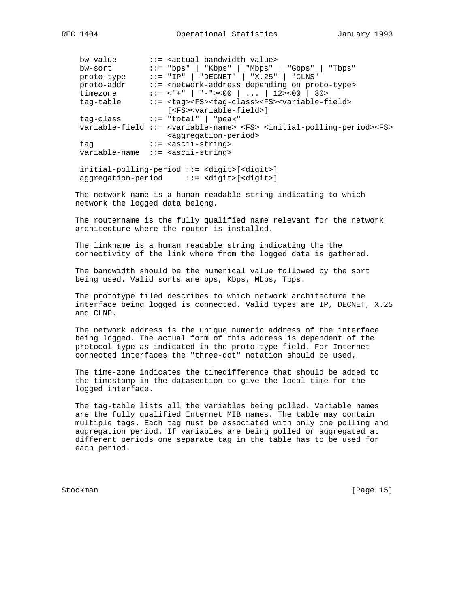bw-value ::= <actual bandwidth value> bw-sort ::= "bps" | "Kbps" | "Mbps" | "Gbps" | "Tbps" proto-type ::= "IP" | "DECNET" | "X.25" | "CLNS" proto-addr ::= <network-address depending on proto-type> timezone ::= <"+" | "-"><00 | ... | 12><00 | 30> tag-table ::= <tag><FS><tag-class><FS><variable-field> [<FS><variable-field>] tag-class ::= "total" | "peak" variable-field ::= <variable-name> <FS> <initial-polling-period><FS> <aggregation-period> tag  $::=$  <ascii-string> variable-name ::= <ascii-string>

 initial-polling-period ::= <digit>[<digit>] aggregation-period ::= <digit>[<digit>]

 The network name is a human readable string indicating to which network the logged data belong.

 The routername is the fully qualified name relevant for the network architecture where the router is installed.

 The linkname is a human readable string indicating the the connectivity of the link where from the logged data is gathered.

 The bandwidth should be the numerical value followed by the sort being used. Valid sorts are bps, Kbps, Mbps, Tbps.

 The prototype filed describes to which network architecture the interface being logged is connected. Valid types are IP, DECNET, X.25 and CLNP.

 The network address is the unique numeric address of the interface being logged. The actual form of this address is dependent of the protocol type as indicated in the proto-type field. For Internet connected interfaces the "three-dot" notation should be used.

 The time-zone indicates the timedifference that should be added to the timestamp in the datasection to give the local time for the logged interface.

 The tag-table lists all the variables being polled. Variable names are the fully qualified Internet MIB names. The table may contain multiple tags. Each tag must be associated with only one polling and aggregation period. If variables are being polled or aggregated at different periods one separate tag in the table has to be used for each period.

Stockman [Page 15]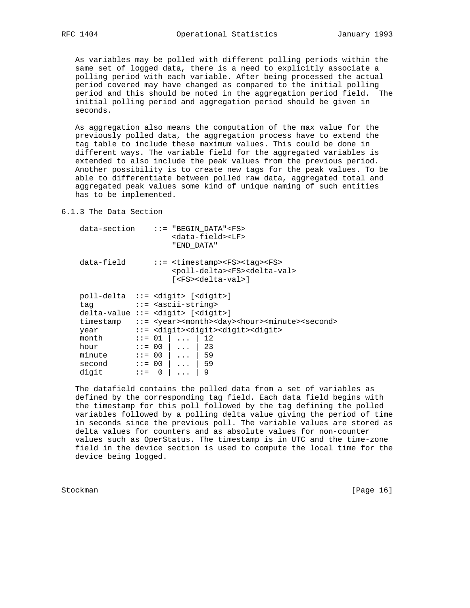As variables may be polled with different polling periods within the same set of logged data, there is a need to explicitly associate a polling period with each variable. After being processed the actual period covered may have changed as compared to the initial polling period and this should be noted in the aggregation period field. The initial polling period and aggregation period should be given in seconds.

 As aggregation also means the computation of the max value for the previously polled data, the aggregation process have to extend the tag table to include these maximum values. This could be done in different ways. The variable field for the aggregated variables is extended to also include the peak values from the previous period. Another possibility is to create new tags for the peak values. To be able to differentiate between polled raw data, aggregated total and aggregated peak values some kind of unique naming of such entities has to be implemented.

# 6.1.3 The Data Section

| data-field<br>$::=$ <timestamp><fs><taq><fs><br/><poll-delta><fs><delta-val><br/>[<fs><delta-val>]</delta-val></fs></delta-val></fs></poll-delta></fs></taq></fs></timestamp>                                                                                                                                                                                                                                                                                                                                                                                                                                                                                                                                                                                               |  |
|-----------------------------------------------------------------------------------------------------------------------------------------------------------------------------------------------------------------------------------------------------------------------------------------------------------------------------------------------------------------------------------------------------------------------------------------------------------------------------------------------------------------------------------------------------------------------------------------------------------------------------------------------------------------------------------------------------------------------------------------------------------------------------|--|
|                                                                                                                                                                                                                                                                                                                                                                                                                                                                                                                                                                                                                                                                                                                                                                             |  |
| $poll-delta :: =  []$<br>$::=$ <ascii-string><br/>tag<br/><math>delta-value ::=</math> <math>\langle</math>digit&gt; <math>\langle</math>digit&gt;]<br/>::= <year><month><day><hour><minute><second><br/>timestamp<br/>::= <digit><digit><digit><digit><br/>year<br/>month<br/><math>: := 01</math><br/>12<br/><math>\mathbf{1}</math> <math>\mathbf{1}</math> <math>\mathbf{1}</math><br/><math>\ldots</math>   23<br/><math>: := 00</math><br/>hour<br/>minute<br/>59<br/><math>: := 00</math>  <br/><math>\ldots</math><br/>59<br/><math>: := 00</math><br/>second<br/><math>\cdot</math> <math>\cdot</math><br/>digit<br/>9<br/><math>\Omega</math><br/><math>: z =</math></digit></digit></digit></digit></second></minute></hour></day></month></year></ascii-string> |  |

 The datafield contains the polled data from a set of variables as defined by the corresponding tag field. Each data field begins with the timestamp for this poll followed by the tag defining the polled variables followed by a polling delta value giving the period of time in seconds since the previous poll. The variable values are stored as delta values for counters and as absolute values for non-counter values such as OperStatus. The timestamp is in UTC and the time-zone field in the device section is used to compute the local time for the device being logged.

Stockman [Page 16]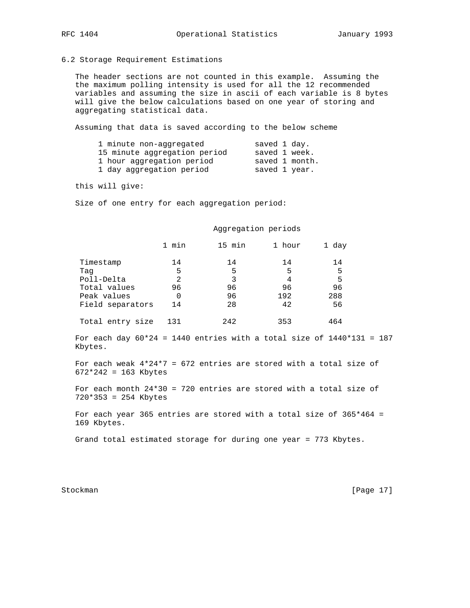### 6.2 Storage Requirement Estimations

 The header sections are not counted in this example. Assuming the the maximum polling intensity is used for all the 12 recommended variables and assuming the size in ascii of each variable is 8 bytes will give the below calculations based on one year of storing and aggregating statistical data.

Assuming that data is saved according to the below scheme

| saved 1 day.   |
|----------------|
| saved 1 week.  |
| saved 1 month. |
| saved 1 year.  |
|                |

this will give:

Size of one entry for each aggregation period:

#### Aggregation periods

|                  | min | 15 min | 1 hour | 1 day |
|------------------|-----|--------|--------|-------|
| Timestamp        | 14  | 14     | 14     | 14    |
| Taq              | 5   | 5      | 5      | 5     |
| Poll-Delta       | 2   | 3      | 4      | 5     |
| Total values     | 96  | 96     | 96     | 96    |
| Peak values      | 0   | 96     | 192    | 288   |
| Field separators | 14  | 28     | 42     | 56    |
| Total entry size | 131 | 242    | 353    | 464   |

For each day  $60*24 = 1440$  entries with a total size of  $1440*131 = 187$ Kbytes.

For each weak  $4*24*7 = 672$  entries are stored with a total size of 672\*242 = 163 Kbytes

 For each month 24\*30 = 720 entries are stored with a total size of 720\*353 = 254 Kbytes

 For each year 365 entries are stored with a total size of 365\*464 = 169 Kbytes.

Grand total estimated storage for during one year = 773 Kbytes.

Stockman [Page 17]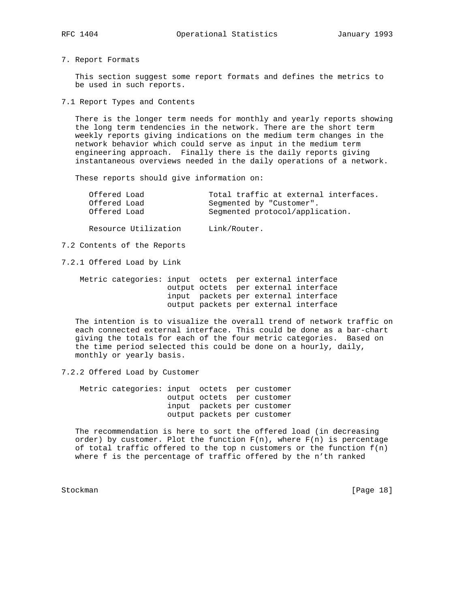7. Report Formats

 This section suggest some report formats and defines the metrics to be used in such reports.

7.1 Report Types and Contents

 There is the longer term needs for monthly and yearly reports showing the long term tendencies in the network. There are the short term weekly reports giving indications on the medium term changes in the network behavior which could serve as input in the medium term engineering approach. Finally there is the daily reports giving instantaneous overviews needed in the daily operations of a network.

These reports should give information on:

| Offered Load |  |  |                                 | Total traffic at external interfaces. |
|--------------|--|--|---------------------------------|---------------------------------------|
| Offered Load |  |  | Segmented by "Customer".        |                                       |
| Offered Load |  |  | Segmented protocol/application. |                                       |

Resource Utilization Link/Router.

7.2 Contents of the Reports

7.2.1 Offered Load by Link

|  | Metric categories: input octets per external interface |  |  |                                       |
|--|--------------------------------------------------------|--|--|---------------------------------------|
|  |                                                        |  |  | output octets per external interface  |
|  |                                                        |  |  | input packets per external interface  |
|  |                                                        |  |  | output packets per external interface |

 The intention is to visualize the overall trend of network traffic on each connected external interface. This could be done as a bar-chart giving the totals for each of the four metric categories. Based on the time period selected this could be done on a hourly, daily, monthly or yearly basis.

7.2.2 Offered Load by Customer

 Metric categories: input octets per customer output octets per customer input packets per customer output packets per customer

 The recommendation is here to sort the offered load (in decreasing order) by customer. Plot the function  $F(n)$ , where  $F(n)$  is percentage of total traffic offered to the top n customers or the function  $f(n)$ where f is the percentage of traffic offered by the n'th ranked

Stockman [Page 18]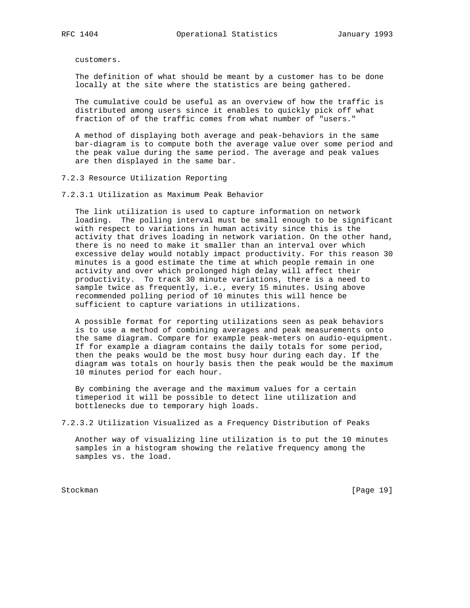customers.

 The definition of what should be meant by a customer has to be done locally at the site where the statistics are being gathered.

 The cumulative could be useful as an overview of how the traffic is distributed among users since it enables to quickly pick off what fraction of of the traffic comes from what number of "users."

 A method of displaying both average and peak-behaviors in the same bar-diagram is to compute both the average value over some period and the peak value during the same period. The average and peak values are then displayed in the same bar.

7.2.3 Resource Utilization Reporting

7.2.3.1 Utilization as Maximum Peak Behavior

 The link utilization is used to capture information on network loading. The polling interval must be small enough to be significant with respect to variations in human activity since this is the activity that drives loading in network variation. On the other hand, there is no need to make it smaller than an interval over which excessive delay would notably impact productivity. For this reason 30 minutes is a good estimate the time at which people remain in one activity and over which prolonged high delay will affect their productivity. To track 30 minute variations, there is a need to sample twice as frequently, i.e., every 15 minutes. Using above recommended polling period of 10 minutes this will hence be sufficient to capture variations in utilizations.

 A possible format for reporting utilizations seen as peak behaviors is to use a method of combining averages and peak measurements onto the same diagram. Compare for example peak-meters on audio-equipment. If for example a diagram contains the daily totals for some period, then the peaks would be the most busy hour during each day. If the diagram was totals on hourly basis then the peak would be the maximum 10 minutes period for each hour.

 By combining the average and the maximum values for a certain timeperiod it will be possible to detect line utilization and bottlenecks due to temporary high loads.

7.2.3.2 Utilization Visualized as a Frequency Distribution of Peaks

 Another way of visualizing line utilization is to put the 10 minutes samples in a histogram showing the relative frequency among the samples vs. the load.

Stockman [Page 19]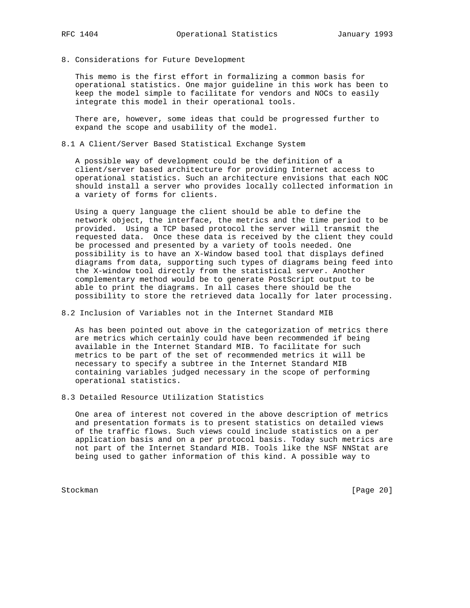- 
- 8. Considerations for Future Development

 This memo is the first effort in formalizing a common basis for operational statistics. One major guideline in this work has been to keep the model simple to facilitate for vendors and NOCs to easily integrate this model in their operational tools.

 There are, however, some ideas that could be progressed further to expand the scope and usability of the model.

8.1 A Client/Server Based Statistical Exchange System

 A possible way of development could be the definition of a client/server based architecture for providing Internet access to operational statistics. Such an architecture envisions that each NOC should install a server who provides locally collected information in a variety of forms for clients.

 Using a query language the client should be able to define the network object, the interface, the metrics and the time period to be provided. Using a TCP based protocol the server will transmit the requested data. Once these data is received by the client they could be processed and presented by a variety of tools needed. One possibility is to have an X-Window based tool that displays defined diagrams from data, supporting such types of diagrams being feed into the X-window tool directly from the statistical server. Another complementary method would be to generate PostScript output to be able to print the diagrams. In all cases there should be the possibility to store the retrieved data locally for later processing.

8.2 Inclusion of Variables not in the Internet Standard MIB

 As has been pointed out above in the categorization of metrics there are metrics which certainly could have been recommended if being available in the Internet Standard MIB. To facilitate for such metrics to be part of the set of recommended metrics it will be necessary to specify a subtree in the Internet Standard MIB containing variables judged necessary in the scope of performing operational statistics.

8.3 Detailed Resource Utilization Statistics

 One area of interest not covered in the above description of metrics and presentation formats is to present statistics on detailed views of the traffic flows. Such views could include statistics on a per application basis and on a per protocol basis. Today such metrics are not part of the Internet Standard MIB. Tools like the NSF NNStat are being used to gather information of this kind. A possible way to

Stockman [Page 20]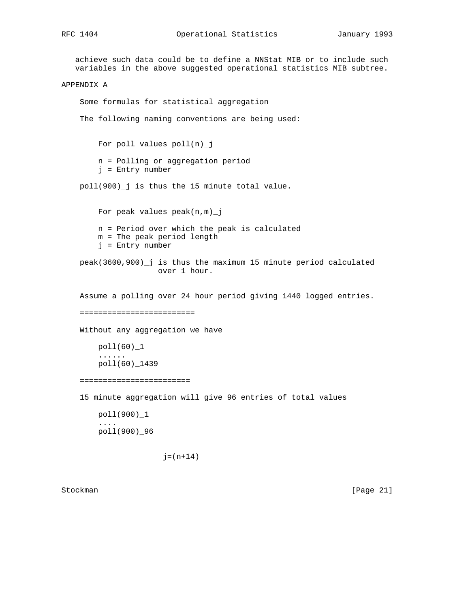```
 achieve such data could be to define a NNStat MIB or to include such
    variables in the above suggested operational statistics MIB subtree.
APPENDIX A
     Some formulas for statistical aggregation
     The following naming conventions are being used:
         For poll values poll(n)_j
         n = Polling or aggregation period
         j = Entry number
     poll(900)_j is thus the 15 minute total value.
        For peak values peak(n,m) n = Period over which the peak is calculated
         m = The peak period length
         j = Entry number
     peak(3600,900)_j is thus the maximum 15 minute period calculated
                      over 1 hour.
     Assume a polling over 24 hour period giving 1440 logged entries.
    =========================
     Without any aggregation we have
         poll(60)_1
          ......
         poll(60)_1439
     ========================
     15 minute aggregation will give 96 entries of total values
         poll(900)_1
         ....
         poll(900)_96
                       j = (n+14)
```
Stockman [Page 21]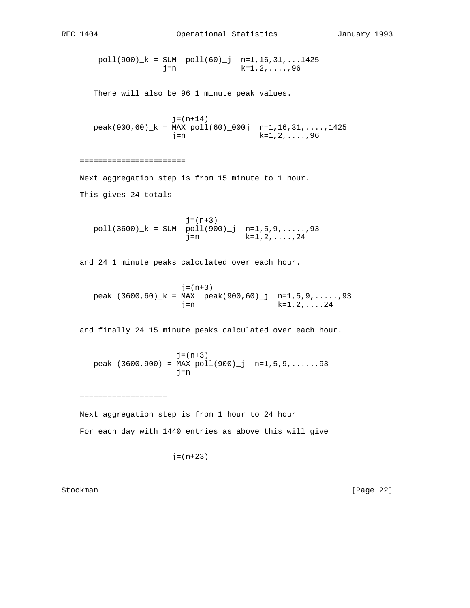```
RFC 1404 Operational Statistics January 1993
```
 poll(900)\_k = SUM poll(60)\_j n=1,16,31,...1425  $j=n$  k=1,2,....,96 There will also be 96 1 minute peak values.  $j = (n+14)$  $peak(900, 60)$ <sub>k</sub> = MAX  $pol(60)$  000j n=1,16,31,....,1425 j=n k=1,2,....,96 ======================= Next aggregation step is from 15 minute to 1 hour. This gives 24 totals  $j=(n+3)$  $poll(3600)_k = SUM \overline{poll(900)_j} \quad n=1,5,9,...,93$  j=n k=1,2,....,24 and 24 1 minute peaks calculated over each hour.  $j=(n+3)$ peak  $(3600, 60)$   $k = MAX$  peak $(900, 60)$   $j$  n=1,5,9,.....,93  $j=n$  k=1,2,....24 and finally 24 15 minute peaks calculated over each hour.  $j = (n+3)$ peak  $(3600, 900) = MAX poll(900) j n=1, 5, 9, \ldots, 93$  $j=n$  =================== Next aggregation step is from 1 hour to 24 hour For each day with 1440 entries as above this will give  $j = (n+23)$ 

Stockman [Page 22]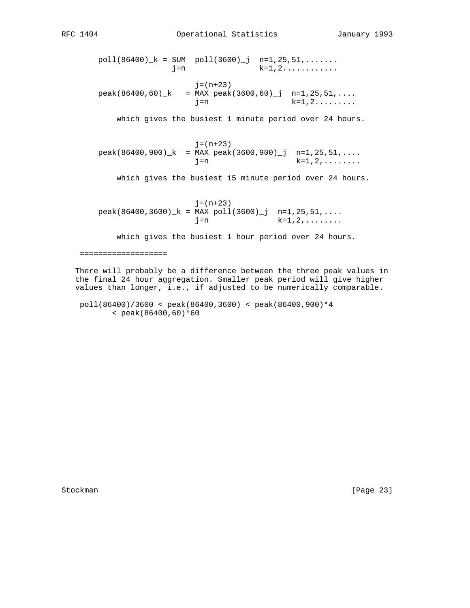$poll(86400)_k = SUM \cdot poll(3600)_j \cdot n=1,25,51,\ldots...$  $j=n$  k=1,2........... j=(n+23)

peak(86400,60)\_k = MAX peak(3600,60)\_j n=1,25,51,....<br>j=n k=1,2.........  $j=n$ 

which gives the busiest 1 minute period over 24 hours.

 j=(n+23)  $peak(86400,900)$ <sub>k</sub> = MAX  $peak(3600,900)$ <sup>j</sup> n=1,25,51,...  $j=n$  k=1,2,.......

which gives the busiest 15 minute period over 24 hours.

 $j = (n+23)$  $peak(86400,3600)$ <sub>k</sub> = MAX  $pol(3600)$ <sup>j</sup> n=1,25,51,....  $j=n$  k=1,2,.......

which gives the busiest 1 hour period over 24 hours.

===================

 There will probably be a difference between the three peak values in the final 24 hour aggregation. Smaller peak period will give higher values than longer, i.e., if adjusted to be numerically comparable.

 poll(86400)/3600 < peak(86400,3600) < peak(86400,900)\*4 < peak(86400,60)\*60

Stockman [Page 23]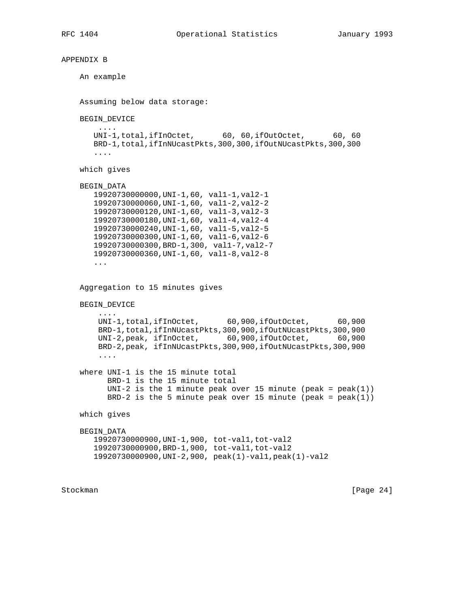```
APPENDIX B
     An example
     Assuming below data storage:
     BEGIN_DEVICE
         ....
      UNI-1,total,ifInOctet, 60, 60,ifOutOctet, 60, 60
       BRD-1,total,ifInNUcastPkts,300,300,ifOutNUcastPkts,300,300
        ....
     which gives
     BEGIN_DATA
        19920730000000,UNI-1,60, val1-1,val2-1
        19920730000060,UNI-1,60, val1-2,val2-2
       19920730000120,UNI-1,60, val1-3,val2-3
       19920730000180,UNI-1,60, val1-4,val2-4
       19920730000240,UNI-1,60, val1-5,val2-5
       19920730000300,UNI-1,60, val1-6,val2-6
       19920730000300,BRD-1,300, val1-7,val2-7
       19920730000360,UNI-1,60, val1-8,val2-8
        ...
     Aggregation to 15 minutes gives
     BEGIN_DEVICE
        ....
         UNI-1,total,ifInOctet, 60,900,ifOutOctet, 60,900
         BRD-1,total,ifInNUcastPkts,300,900,ifOutNUcastPkts,300,900
         UNI-2,peak, ifInOctet, 60,900,ifOutOctet, 60,900
         BRD-2,peak, ifInNUcastPkts,300,900,ifOutNUcastPkts,300,900
         ....
     where UNI-1 is the 15 minute total
           BRD-1 is the 15 minute total
          UNI-2 is the 1 minute peak over 15 minute (peak = peak(1))
          BRD-2 is the 5 minute peak over 15 minute (peak = peak(1))
     which gives
     BEGIN_DATA
       19920730000900,UNI-1,900, tot-val1,tot-val2
        19920730000900,BRD-1,900, tot-val1,tot-val2
       19920730000900,UNI-2,900, peak(1)-val1,peak(1)-val2
```
Stockman [Page 24]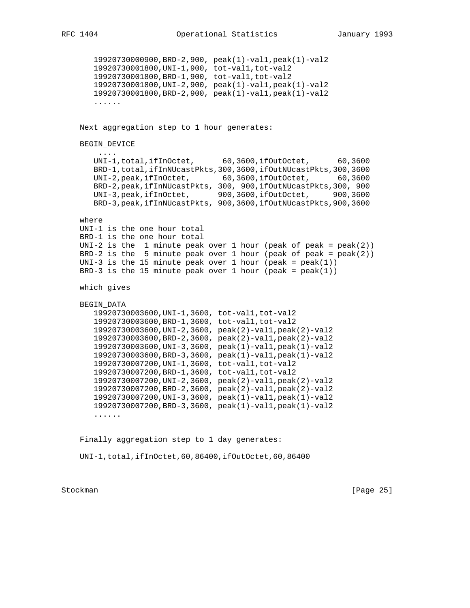19920730000900,BRD-2,900, peak(1)-val1,peak(1)-val2 19920730001800,UNI-1,900, tot-val1,tot-val2 19920730001800,BRD-1,900, tot-val1,tot-val2 19920730001800,UNI-2,900, peak(1)-val1,peak(1)-val2 19920730001800,BRD-2,900, peak(1)-val1,peak(1)-val2 ...... Next aggregation step to 1 hour generates: BEGIN\_DEVICE .... UNI-1,total,ifInOctet, 60,3600,ifOutOctet, 60,3600 BRD-1,total,ifInNUcastPkts,300,3600,ifOutNUcastPkts,300,3600 UNI-2,peak,ifInOctet, 60,3600,ifOutOctet, 60,3600 BRD-2,peak,ifInNUcastPkts, 300, 900,ifOutNUcastPkts,300, 900 UNI-3,peak,ifInOctet, 900,3600,ifOutOctet, 900,3600 BRD-3,peak,ifInNUcastPkts, 900,3600,ifOutNUcastPkts,900,3600 where UNI-1 is the one hour total BRD-1 is the one hour total UNI-2 is the 1 minute peak over 1 hour (peak of peak =  $peak(2)$ )  $BRD-2$  is the 5 minute peak over 1 hour (peak of peak = peak(2)) UNI-3 is the 15 minute peak over 1 hour (peak =  $peak(1)$ ) BRD-3 is the 15 minute peak over 1 hour (peak =  $peak(1)$ ) which gives BEGIN\_DATA 19920730003600,UNI-1,3600, tot-val1,tot-val2 19920730003600,BRD-1,3600, tot-val1,tot-val2 19920730003600,UNI-2,3600, peak(2)-val1,peak(2)-val2 19920730003600,BRD-2,3600, peak(2)-val1,peak(2)-val2 19920730003600,UNI-3,3600, peak(1)-val1,peak(1)-val2 19920730003600,BRD-3,3600, peak(1)-val1,peak(1)-val2 19920730007200,UNI-1,3600, tot-val1,tot-val2 19920730007200,BRD-1,3600, tot-val1,tot-val2 19920730007200,UNI-2,3600, peak(2)-val1,peak(2)-val2 19920730007200,BRD-2,3600, peak(2)-val1,peak(2)-val2 19920730007200,UNI-3,3600, peak(1)-val1,peak(1)-val2 19920730007200,BRD-3,3600, peak(1)-val1,peak(1)-val2 ...... Finally aggregation step to 1 day generates:

UNI-1,total,ifInOctet,60,86400,ifOutOctet,60,86400

Stockman [Page 25]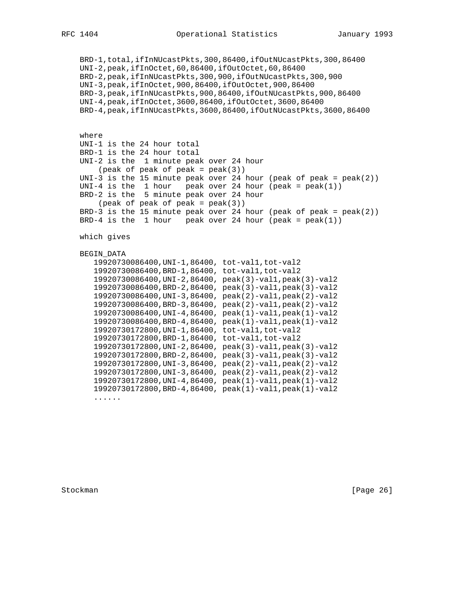BRD-1,total,ifInNUcastPkts,300,86400,ifOutNUcastPkts,300,86400 UNI-2,peak,ifInOctet,60,86400,ifOutOctet,60,86400 BRD-2,peak,ifInNUcastPkts,300,900,ifOutNUcastPkts,300,900 UNI-3,peak,ifInOctet,900,86400,ifOutOctet,900,86400 BRD-3,peak,ifInNUcastPkts,900,86400,ifOutNUcastPkts,900,86400 UNI-4,peak,ifInOctet,3600,86400,ifOutOctet,3600,86400 BRD-4,peak,ifInNUcastPkts,3600,86400,ifOutNUcastPkts,3600,86400 where UNI-1 is the 24 hour total BRD-1 is the 24 hour total UNI-2 is the 1 minute peak over 24 hour  $(\text{peak of peak of peak} = \text{peak}(3))$ UNI-3 is the 15 minute peak over 24 hour (peak of peak =  $peak(2)$ ) UNI-4 is the 1 hour peak over 24 hour (peak =  $peak(1)$ ) BRD-2 is the 5 minute peak over 24 hour  $(\text{peak of peak of peak} = \text{peak}(3))$  $BRD-3$  is the 15 minute peak over 24 hour (peak of peak = peak(2)) BRD-4 is the 1 hour peak over 24 hour (peak =  $peak(1)$ ) which gives BEGIN\_DATA

```
 19920730086400,UNI-1,86400, tot-val1,tot-val2
 19920730086400,BRD-1,86400, tot-val1,tot-val2
 19920730086400,UNI-2,86400, peak(3)-val1,peak(3)-val2
 19920730086400,BRD-2,86400, peak(3)-val1,peak(3)-val2
 19920730086400,UNI-3,86400, peak(2)-val1,peak(2)-val2
 19920730086400,BRD-3,86400, peak(2)-val1,peak(2)-val2
 19920730086400,UNI-4,86400, peak(1)-val1,peak(1)-val2
 19920730086400,BRD-4,86400, peak(1)-val1,peak(1)-val2
 19920730172800,UNI-1,86400, tot-val1,tot-val2
 19920730172800,BRD-1,86400, tot-val1,tot-val2
 19920730172800,UNI-2,86400, peak(3)-val1,peak(3)-val2
 19920730172800,BRD-2,86400, peak(3)-val1,peak(3)-val2
 19920730172800,UNI-3,86400, peak(2)-val1,peak(2)-val2
 19920730172800,UNI-3,86400, peak(2)-val1,peak(2)-val2
 19920730172800,UNI-4,86400, peak(1)-val1,peak(1)-val2
 19920730172800,BRD-4,86400, peak(1)-val1,peak(1)-val2
 ......
```
Stockman [Page 26]